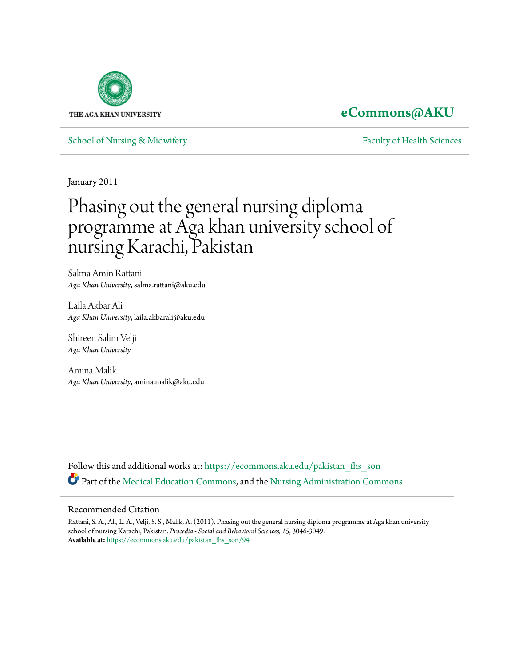

## **[eCommons@AKU](https://ecommons.aku.edu?utm_source=ecommons.aku.edu%2Fpakistan_fhs_son%2F94&utm_medium=PDF&utm_campaign=PDFCoverPages)**

[School of Nursing & Midwifery](https://ecommons.aku.edu/pakistan_fhs_son?utm_source=ecommons.aku.edu%2Fpakistan_fhs_son%2F94&utm_medium=PDF&utm_campaign=PDFCoverPages) **[Faculty of Health Sciences](https://ecommons.aku.edu/pakistan_fhs?utm_source=ecommons.aku.edu%2Fpakistan_fhs_son%2F94&utm_medium=PDF&utm_campaign=PDFCoverPages)** Faculty of Health Sciences

January 2011

# Phasing out the general nursing diploma programme at Aga khan university school of nursing Karachi, Pakistan

Salma Amin Rattani *Aga Khan University*, salma.rattani@aku.edu

Laila Akbar Ali *Aga Khan University*, laila.akbarali@aku.edu

Shireen Salim Velji *Aga Khan University*

Amina Malik *Aga Khan University*, amina.malik@aku.edu

Follow this and additional works at: [https://ecommons.aku.edu/pakistan\\_fhs\\_son](https://ecommons.aku.edu/pakistan_fhs_son?utm_source=ecommons.aku.edu%2Fpakistan_fhs_son%2F94&utm_medium=PDF&utm_campaign=PDFCoverPages) Part of the [Medical Education Commons,](http://network.bepress.com/hgg/discipline/1125?utm_source=ecommons.aku.edu%2Fpakistan_fhs_son%2F94&utm_medium=PDF&utm_campaign=PDFCoverPages) and the [Nursing Administration Commons](http://network.bepress.com/hgg/discipline/719?utm_source=ecommons.aku.edu%2Fpakistan_fhs_son%2F94&utm_medium=PDF&utm_campaign=PDFCoverPages)

### Recommended Citation

Rattani, S. A., Ali, L. A., Velji, S. S., Malik, A. (2011). Phasing out the general nursing diploma programme at Aga khan university school of nursing Karachi, Pakistan. *Procedia - Social and Behavioral Sciences, 15*, 3046-3049. **Available at:** [https://ecommons.aku.edu/pakistan\\_fhs\\_son/94](https://ecommons.aku.edu/pakistan_fhs_son/94)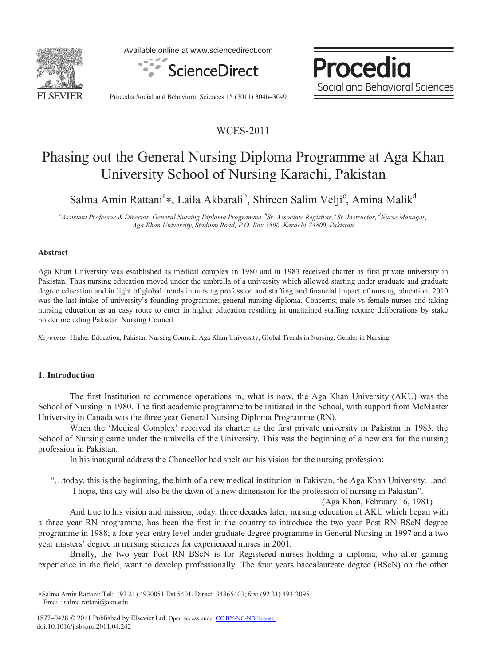

Available online at www.sciencedirect.com



Procedia Social and Behavioral Sciences

Procedia Social and Behavioral Sciences 15 (2011) 3046–3049

## WCES-2011

# Phasing out the General Nursing Diploma Programme at Aga Khan University School of Nursing Karachi, Pakistan

Salma Amin Rattani<sup>a</sup>\*, Laila Akbarali<sup>b</sup>, Shireen Salim Velji<sup>c</sup>, Amina Malik<sup>d</sup>

*a Assistant Professor & Director, General Nursing Diploma Programme, b Sr. Associate Registrar, <sup>c</sup> Sr. Instructor, d Nurse Manager, Aga Khan University, Stadium Road, P.O. Box 3500, Karachi-74800, Pakistan* 

#### **Abstract**

Aga Khan University was established as medical complex in 1980 and in 1983 received charter as first private university in Pakistan. Thus nursing education moved under the umbrella of a university which allowed starting under graduate and graduate degree education and in light of global trends in nursing profession and staffing and financial impact of nursing education, 2010 was the last intake of university's founding programme; general nursing diploma. Concerns; male vs female nurses and taking nursing education as an easy route to enter in higher education resulting in unattained staffing require deliberations by stake holder including Pakistan Nursing Council.

*Keywords:* Higher Education, Pakistan Nursing Council, Aga Khan University, Global Trends in Nursing, Gender in Nursing

#### **1. Introduction**

The first Institution to commence operations in, what is now, the Aga Khan University (AKU) was the School of Nursing in 1980. The first academic programme to be initiated in the School, with support from McMaster University in Canada was the three year General Nursing Diploma Programme (RN).

When the 'Medical Complex' received its charter as the first private university in Pakistan in 1983, the School of Nursing came under the umbrella of the University. This was the beginning of a new era for the nursing profession in Pakistan.

In his inaugural address the Chancellor had spelt out his vision for the nursing profession:

"…today, this is the beginning, the birth of a new medical institution in Pakistan, the Aga Khan University…and I hope, this day will also be the dawn of a new dimension for the profession of nursing in Pakistan".

(Aga Khan, February 16, 1981)

And true to his vision and mission, today, three decades later, nursing education at AKU which began with a three year RN programme, has been the first in the country to introduce the two year Post RN BScN degree programme in 1988; a four year entry level under graduate degree programme in General Nursing in 1997 and a two year masters' degree in nursing sciences for experienced nurses in 2001.

Briefly, the two year Post RN BScN is for Registered nurses holding a diploma, who after gaining experience in the field, want to develop professionally. The four years baccalaureate degree (BScN) on the other

Salma Amin Rattani: Tel: (92 21) 4930051 Ext 5401. Direct: 34865403; fax: (92 21) 493-2095 Email: salma.rattani@aku.edu

<sup>1877–0428 © 2011</sup> Published by Elsevier Ltd. Open access under CC [BY-NC-ND](http://creativecommons.org/licenses/by-nc-nd/3.0/) license.doi:10.1016/j.sbspro.2011.04.242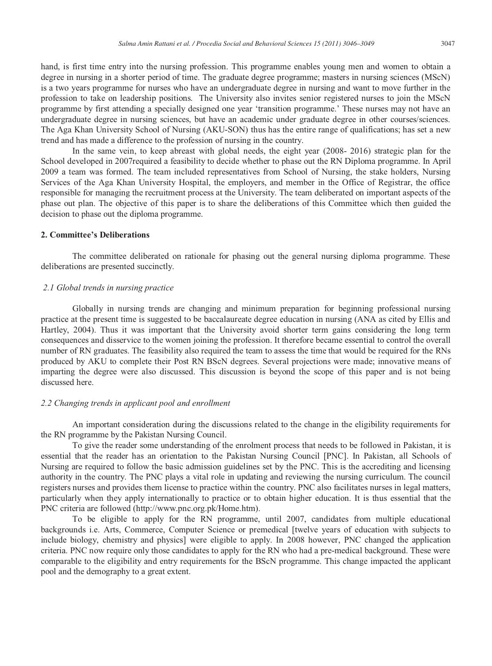hand, is first time entry into the nursing profession. This programme enables young men and women to obtain a degree in nursing in a shorter period of time. The graduate degree programme; masters in nursing sciences (MScN) is a two years programme for nurses who have an undergraduate degree in nursing and want to move further in the profession to take on leadership positions. The University also invites senior registered nurses to join the MScN programme by first attending a specially designed one year 'transition programme.' These nurses may not have an undergraduate degree in nursing sciences, but have an academic under graduate degree in other courses/sciences. The Aga Khan University School of Nursing (AKU-SON) thus has the entire range of qualifications; has set a new trend and has made a difference to the profession of nursing in the country.

In the same vein, to keep abreast with global needs, the eight year (2008- 2016) strategic plan for the School developed in 2007required a feasibility to decide whether to phase out the RN Diploma programme. In April 2009 a team was formed. The team included representatives from School of Nursing, the stake holders, Nursing Services of the Aga Khan University Hospital, the employers, and member in the Office of Registrar, the office responsible for managing the recruitment process at the University. The team deliberated on important aspects of the phase out plan. The objective of this paper is to share the deliberations of this Committee which then guided the decision to phase out the diploma programme.

#### **2. Committee's Deliberations**

The committee deliberated on rationale for phasing out the general nursing diploma programme. These deliberations are presented succinctly.

#### *2.1 Global trends in nursing practice*

Globally in nursing trends are changing and minimum preparation for beginning professional nursing practice at the present time is suggested to be baccalaureate degree education in nursing (ANA as cited by Ellis and Hartley, 2004). Thus it was important that the University avoid shorter term gains considering the long term consequences and disservice to the women joining the profession. It therefore became essential to control the overall number of RN graduates. The feasibility also required the team to assess the time that would be required for the RNs produced by AKU to complete their Post RN BScN degrees. Several projections were made; innovative means of imparting the degree were also discussed. This discussion is beyond the scope of this paper and is not being discussed here.

#### *2.2 Changing trends in applicant pool and enrollment*

 An important consideration during the discussions related to the change in the eligibility requirements for the RN programme by the Pakistan Nursing Council.

To give the reader some understanding of the enrolment process that needs to be followed in Pakistan, it is essential that the reader has an orientation to the Pakistan Nursing Council [PNC]. In Pakistan, all Schools of Nursing are required to follow the basic admission guidelines set by the PNC. This is the accrediting and licensing authority in the country. The PNC plays a vital role in updating and reviewing the nursing curriculum. The council registers nurses and provides them license to practice within the country. PNC also facilitates nurses in legal matters, particularly when they apply internationally to practice or to obtain higher education. It is thus essential that the PNC criteria are followed (http://www.pnc.org.pk/Home.htm).

To be eligible to apply for the RN programme, until 2007, candidates from multiple educational backgrounds i.e. Arts, Commerce, Computer Science or premedical [twelve years of education with subjects to include biology, chemistry and physics] were eligible to apply. In 2008 however, PNC changed the application criteria. PNC now require only those candidates to apply for the RN who had a pre-medical background. These were comparable to the eligibility and entry requirements for the BScN programme. This change impacted the applicant pool and the demography to a great extent.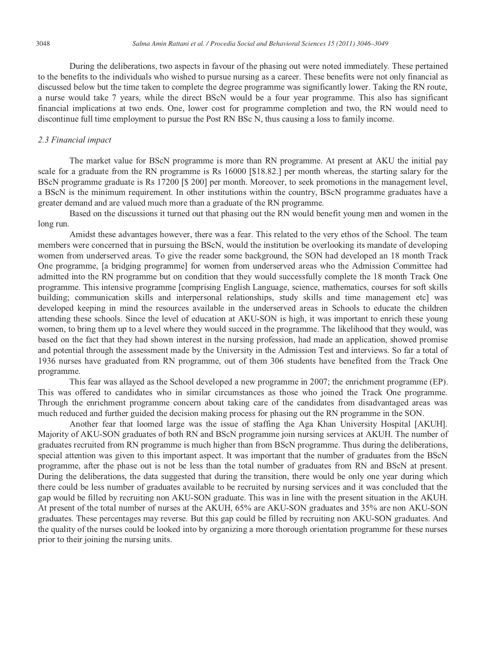During the deliberations, two aspects in favour of the phasing out were noted immediately. These pertained to the benefits to the individuals who wished to pursue nursing as a career. These benefits were not only financial as discussed below but the time taken to complete the degree programme was significantly lower. Taking the RN route, a nurse would take 7 years, while the direct BScN would be a four year programme. This also has significant financial implications at two ends. One, lower cost for programme completion and two, the RN would need to discontinue full time employment to pursue the Post RN BSc N, thus causing a loss to family income.

#### *2.3 Financial impact*

The market value for BScN programme is more than RN programme. At present at AKU the initial pay scale for a graduate from the RN programme is Rs 16000 [\$18.82.] per month whereas, the starting salary for the BScN programme graduate is Rs 17200 [\$ 200] per month. Moreover, to seek promotions in the management level, a BScN is the minimum requirement. In other institutions within the country, BScN programme graduates have a greater demand and are valued much more than a graduate of the RN programme.

Based on the discussions it turned out that phasing out the RN would benefit young men and women in the long run.

Amidst these advantages however, there was a fear. This related to the very ethos of the School. The team members were concerned that in pursuing the BScN, would the institution be overlooking its mandate of developing women from underserved areas. To give the reader some background, the SON had developed an 18 month Track One programme, [a bridging programme] for women from underserved areas who the Admission Committee had admitted into the RN programme but on condition that they would successfully complete the 18 month Track One programme. This intensive programme [comprising English Language, science, mathematics, courses for soft skills building; communication skills and interpersonal relationships, study skills and time management etc] was developed keeping in mind the resources available in the underserved areas in Schools to educate the children attending these schools. Since the level of education at AKU-SON is high, it was important to enrich these young women, to bring them up to a level where they would succed in the programme. The likelihood that they would, was based on the fact that they had shown interest in the nursing profession, had made an application, showed promise and potential through the assessment made by the University in the Admission Test and interviews. So far a total of 1936 nurses have graduated from RN programme, out of them 306 students have benefited from the Track One programme.

This fear was allayed as the School developed a new programme in 2007; the enrichment programme (EP). This was offered to candidates who in similar circumstances as those who joined the Track One programme. Through the enrichment programme concern about taking care of the candidates from disadvantaged areas was much reduced and further guided the decision making process for phasing out the RN programme in the SON.

Another fear that loomed large was the issue of staffing the Aga Khan University Hospital [AKUH]. Majority of AKU-SON graduates of both RN and BScN programme join nursing services at AKUH. The number of graduates recruited from RN programme is much higher than from BScN programme. Thus during the deliberations, special attention was given to this important aspect. It was important that the number of graduates from the BScN programme, after the phase out is not be less than the total number of graduates from RN and BScN at present. During the deliberations, the data suggested that during the transition, there would be only one year during which there could be less number of graduates available to be recruited by nursing services and it was concluded that the gap would be filled by recruiting non AKU-SON graduate. This was in line with the present situation in the AKUH. At present of the total number of nurses at the AKUH, 65% are AKU-SON graduates and 35% are non AKU-SON graduates. These percentages may reverse. But this gap could be filled by recruiting non AKU-SON graduates. And the quality of the nurses could be looked into by organizing a more thorough orientation programme for these nurses prior to their joining the nursing units.